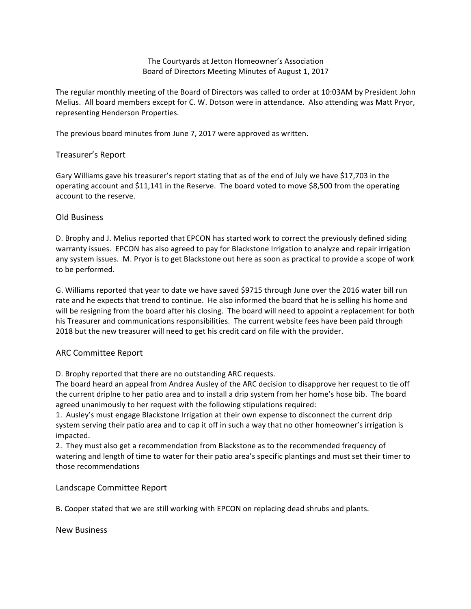The Courtyards at Jetton Homeowner's Association Board of Directors Meeting Minutes of August 1, 2017

The regular monthly meeting of the Board of Directors was called to order at 10:03AM by President John Melius. All board members except for C. W. Dotson were in attendance. Also attending was Matt Pryor, representing Henderson Properties.

The previous board minutes from June 7, 2017 were approved as written.

## Treasurer's Report

Gary Williams gave his treasurer's report stating that as of the end of July we have \$17,703 in the operating account and \$11,141 in the Reserve. The board voted to move \$8,500 from the operating account to the reserve.

## Old Business

D. Brophy and J. Melius reported that EPCON has started work to correct the previously defined siding warranty issues. EPCON has also agreed to pay for Blackstone Irrigation to analyze and repair irrigation any system issues. M. Pryor is to get Blackstone out here as soon as practical to provide a scope of work to be performed.

G. Williams reported that year to date we have saved \$9715 through June over the 2016 water bill run rate and he expects that trend to continue. He also informed the board that he is selling his home and will be resigning from the board after his closing. The board will need to appoint a replacement for both his Treasurer and communications responsibilities. The current website fees have been paid through 2018 but the new treasurer will need to get his credit card on file with the provider.

## ARC Committee Report

D. Brophy reported that there are no outstanding ARC requests.

The board heard an appeal from Andrea Ausley of the ARC decision to disapprove her request to tie off the current driplne to her patio area and to install a drip system from her home's hose bib. The board agreed unanimously to her request with the following stipulations required:

1. Ausley's must engage Blackstone Irrigation at their own expense to disconnect the current drip system serving their patio area and to cap it off in such a way that no other homeowner's irrigation is impacted.

2. They must also get a recommendation from Blackstone as to the recommended frequency of watering and length of time to water for their patio area's specific plantings and must set their timer to those recommendations

Landscape Committee Report

B. Cooper stated that we are still working with EPCON on replacing dead shrubs and plants.

New Business